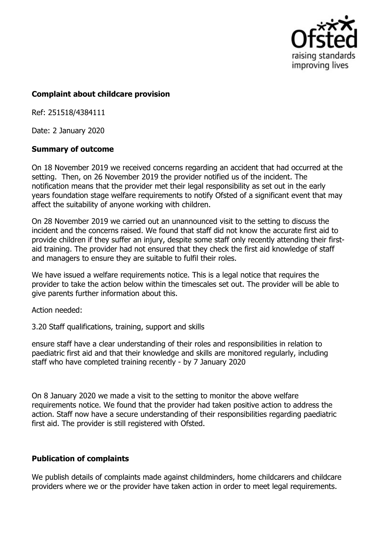

## **Complaint about childcare provision**

Ref: 251518/4384111

Date: 2 January 2020

## **Summary of outcome**

On 18 November 2019 we received concerns regarding an accident that had occurred at the setting. Then, on 26 November 2019 the provider notified us of the incident. The notification means that the provider met their legal responsibility as set out in the early years foundation stage welfare requirements to notify Ofsted of a significant event that may affect the suitability of anyone working with children.

On 28 November 2019 we carried out an unannounced visit to the setting to discuss the incident and the concerns raised. We found that staff did not know the accurate first aid to provide children if they suffer an injury, despite some staff only recently attending their firstaid training. The provider had not ensured that they check the first aid knowledge of staff and managers to ensure they are suitable to fulfil their roles.

We have issued a welfare requirements notice. This is a legal notice that requires the provider to take the action below within the timescales set out. The provider will be able to give parents further information about this.

Action needed:

3.20 Staff qualifications, training, support and skills

ensure staff have a clear understanding of their roles and responsibilities in relation to paediatric first aid and that their knowledge and skills are monitored regularly, including staff who have completed training recently - by 7 January 2020

On 8 January 2020 we made a visit to the setting to monitor the above welfare requirements notice. We found that the provider had taken positive action to address the action. Staff now have a secure understanding of their responsibilities regarding paediatric first aid. The provider is still registered with Ofsted.

## **Publication of complaints**

We publish details of complaints made against childminders, home childcarers and childcare providers where we or the provider have taken action in order to meet legal requirements.